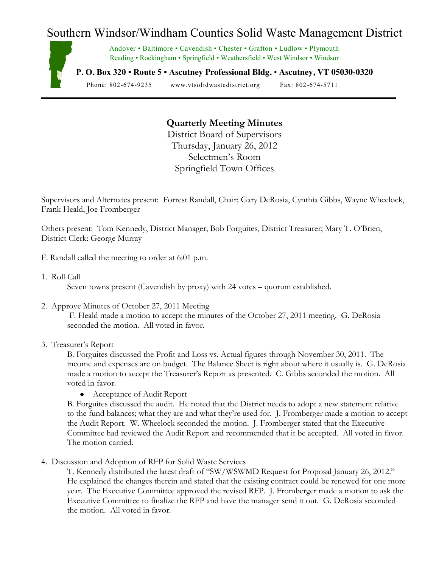## Southern Windsor/Windham Counties Solid Waste Management District



Andover • Baltimore • Cavendish • Chester • Grafton • Ludlow • Plymouth Reading • Rockingham • Springfield • Weathersfield • West Windsor • Windsor

**P. O. Box 320 • Route 5 • Ascutney Professional Bldg.** • **Ascutney, VT 05030-0320**

Phone: 802-674-9235 www.vtsolidwastedistrict.org Fax: 802-674-5711

## **Quarterly Meeting Minutes**

District Board of Supervisors Thursday, January 26, 2012 Selectmen's Room Springfield Town Offices

Supervisors and Alternates present: Forrest Randall, Chair; Gary DeRosia, Cynthia Gibbs, Wayne Wheelock, Frank Heald, Joe Fromberger

Others present: Tom Kennedy, District Manager; Bob Forguites, District Treasurer; Mary T. O'Brien, District Clerk: George Murray

- F. Randall called the meeting to order at 6:01 p.m.
- 1. Roll Call

Seven towns present (Cavendish by proxy) with 24 votes – quorum established.

2. Approve Minutes of October 27, 2011 Meeting

F. Heald made a motion to accept the minutes of the October 27, 2011 meeting. G. DeRosia seconded the motion. All voted in favor.

3. Treasurer's Report

B. Forguites discussed the Profit and Loss vs. Actual figures through November 30, 2011. The income and expenses are on budget. The Balance Sheet is right about where it usually is. G. DeRosia made a motion to accept the Treasurer's Report as presented. C. Gibbs seconded the motion. All voted in favor.

Acceptance of Audit Report

B. Forguites discussed the audit. He noted that the District needs to adopt a new statement relative to the fund balances; what they are and what they're used for. J. Fromberger made a motion to accept the Audit Report. W. Wheelock seconded the motion. J. Fromberger stated that the Executive Committee had reviewed the Audit Report and recommended that it be accepted. All voted in favor. The motion carried.

4. Discussion and Adoption of RFP for Solid Waste Services

T. Kennedy distributed the latest draft of "SW/WSWMD Request for Proposal January 26, 2012." He explained the changes therein and stated that the existing contract could be renewed for one more year. The Executive Committee approved the revised RFP. J. Fromberger made a motion to ask the Executive Committee to finalize the RFP and have the manager send it out. G. DeRosia seconded the motion. All voted in favor.